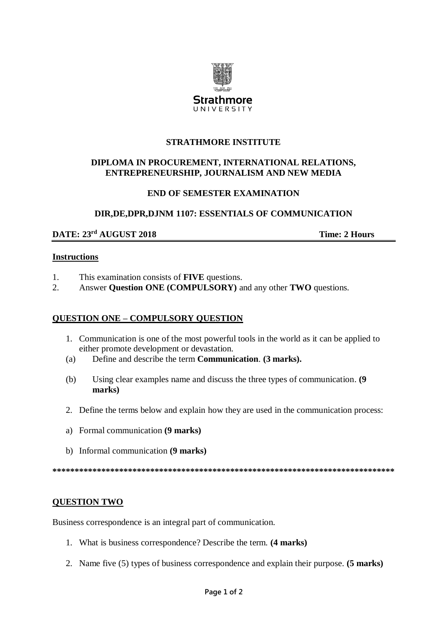

## **STRATHMORE INSTITUTE**

# DIPLOMA IN PROCUREMENT. INTERNATIONAL RELATIONS. ENTREPRENEURSHIP, JOURNALISM AND NEW MEDIA

## **END OF SEMESTER EXAMINATION**

## DIR, DE, DPR, DJNM 1107: ESSENTIALS OF COMMUNICATION

# DATE: 23rd AUGUST 2018

**Time: 2 Hours** 

#### **Instructions**

- $1.$ This examination consists of FIVE questions.
- $2.$ Answer Question ONE (COMPULSORY) and any other TWO questions.

#### **QUESTION ONE - COMPULSORY QUESTION**

- 1. Communication is one of the most powerful tools in the world as it can be applied to either promote development or devastation.
- Define and describe the term Communication. (3 marks).  $(a)$
- $(b)$ Using clear examples name and discuss the three types of communication. (9) marks)
- 2. Define the terms below and explain how they are used in the communication process:
- a) Formal communication (9 marks)
- b) Informal communication (9 marks)

## **QUESTION TWO**

Business correspondence is an integral part of communication.

- 1. What is business correspondence? Describe the term. (4 marks)
- 2. Name five (5) types of business correspondence and explain their purpose. (5 marks)